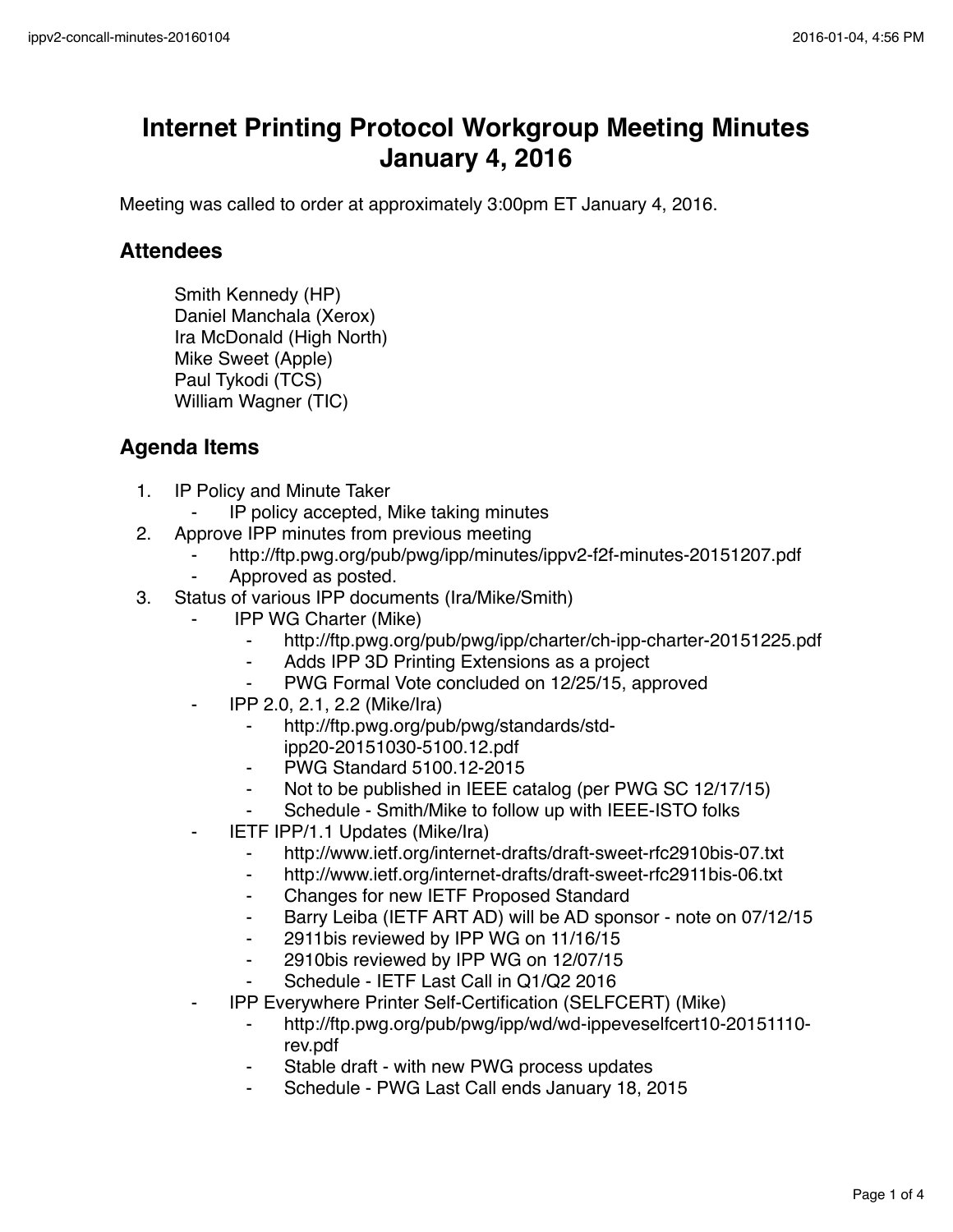## **Internet Printing Protocol Workgroup Meeting Minutes January 4, 2016**

Meeting was called to order at approximately 3:00pm ET January 4, 2016.

## **Attendees**

Smith Kennedy (HP) Daniel Manchala (Xerox) Ira McDonald (High North) Mike Sweet (Apple) Paul Tykodi (TCS) William Wagner (TIC)

## **Agenda Items**

- 1. IP Policy and Minute Taker
	- IP policy accepted, Mike taking minutes
- 2. Approve IPP minutes from previous meeting
	- http://ftp.pwg.org/pub/pwg/ipp/minutes/ippv2-f2f-minutes-20151207.pdf
	- Approved as posted.
- 3. Status of various IPP documents (Ira/Mike/Smith)
	- **IPP WG Charter (Mike)** 
		- http://ftp.pwg.org/pub/pwg/ipp/charter/ch-ipp-charter-20151225.pdf
		- ⁃ Adds IPP 3D Printing Extensions as a project
		- PWG Formal Vote concluded on 12/25/15, approved
	- ⁃ IPP 2.0, 2.1, 2.2 (Mike/Ira)
		- ⁃ http://ftp.pwg.org/pub/pwg/standards/stdipp20-20151030-5100.12.pdf
		- ⁃ PWG Standard 5100.12-2015
		- ⁃ Not to be published in IEEE catalog (per PWG SC 12/17/15)
		- Schedule Smith/Mike to follow up with IEEE-ISTO folks
	- **IETF IPP/1.1 Updates (Mike/Ira)** 
		- http://www.ietf.org/internet-drafts/draft-sweet-rfc2910bis-07.txt
		- ⁃ http://www.ietf.org/internet-drafts/draft-sweet-rfc2911bis-06.txt
		- ⁃ Changes for new IETF Proposed Standard
		- ⁃ Barry Leiba (IETF ART AD) will be AD sponsor note on 07/12/15
		- ⁃ 2911bis reviewed by IPP WG on 11/16/15
		- ⁃ 2910bis reviewed by IPP WG on 12/07/15
		- Schedule IETF Last Call in Q1/Q2 2016
	- ⁃ IPP Everywhere Printer Self-Certification (SELFCERT) (Mike)
		- http://ftp.pwg.org/pub/pwg/ipp/wd/wd-ippeveselfcert10-20151110rev.pdf
		- Stable draft with new PWG process updates
		- Schedule PWG Last Call ends January 18, 2015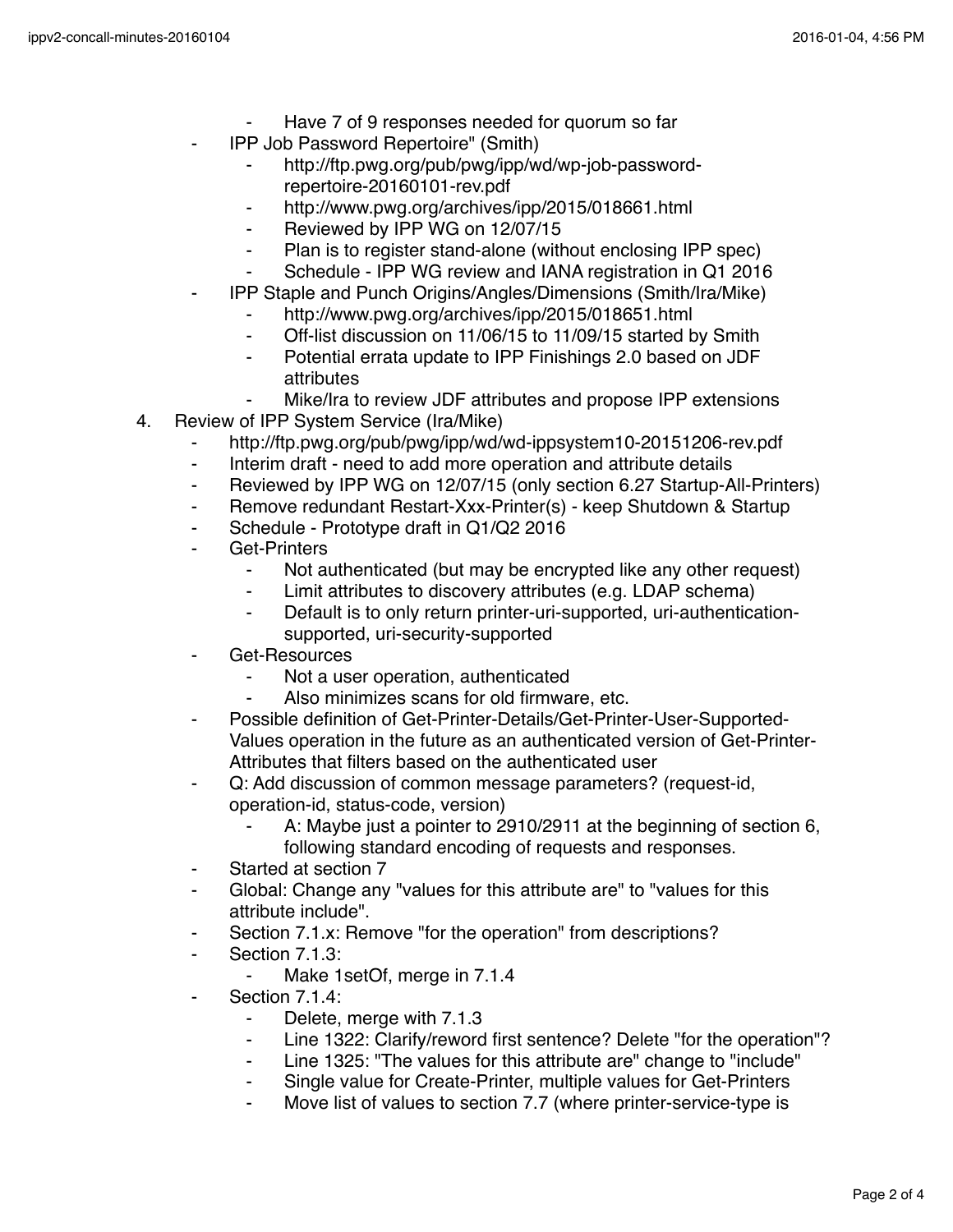- Have 7 of 9 responses needed for quorum so far
- ⁃ IPP Job Password Repertoire" (Smith)
	- http://ftp.pwg.org/pub/pwg/ipp/wd/wp-job-passwordrepertoire-20160101-rev.pdf
	- ⁃ http://www.pwg.org/archives/ipp/2015/018661.html
	- ⁃ Reviewed by IPP WG on 12/07/15
	- ⁃ Plan is to register stand-alone (without enclosing IPP spec)
	- Schedule IPP WG review and IANA registration in Q1 2016
- ⁃ IPP Staple and Punch Origins/Angles/Dimensions (Smith/Ira/Mike)
	- http://www.pwg.org/archives/ipp/2015/018651.html
	- Off-list discussion on 11/06/15 to 11/09/15 started by Smith
	- ⁃ Potential errata update to IPP Finishings 2.0 based on JDF attributes
	- Mike/Ira to review JDF attributes and propose IPP extensions
- 4. Review of IPP System Service (Ira/Mike)
	- http://ftp.pwg.org/pub/pwg/ipp/wd/wd-ippsystem10-20151206-rev.pdf
	- ⁃ Interim draft need to add more operation and attribute details
	- ⁃ Reviewed by IPP WG on 12/07/15 (only section 6.27 Startup-All-Printers)
	- Remove redundant Restart-Xxx-Printer(s) keep Shutdown & Startup
	- ⁃ Schedule Prototype draft in Q1/Q2 2016
	- Get-Printers
		- ⁃ Not authenticated (but may be encrypted like any other request)
		- Limit attributes to discovery attributes (e.g. LDAP schema)
		- ⁃ Default is to only return printer-uri-supported, uri-authenticationsupported, uri-security-supported
	- Get-Resources
		- ⁃ Not a user operation, authenticated
		- Also minimizes scans for old firmware, etc.
	- Possible definition of Get-Printer-Details/Get-Printer-User-Supported-Values operation in the future as an authenticated version of Get-Printer-Attributes that filters based on the authenticated user
	- ⁃ Q: Add discussion of common message parameters? (request-id, operation-id, status-code, version)
		- A: Maybe just a pointer to 2910/2911 at the beginning of section 6, following standard encoding of requests and responses.
	- ⁃ Started at section 7
	- ⁃ Global: Change any "values for this attribute are" to "values for this attribute include".
	- Section 7.1.x: Remove "for the operation" from descriptions?
	- Section 7.1.3:
		- Make 1setOf, merge in 7.1.4
	- ⁃ Section 7.1.4:
		- Delete, merge with 7.1.3
		- ⁃ Line 1322: Clarify/reword first sentence? Delete "for the operation"?
		- ⁃ Line 1325: "The values for this attribute are" change to "include"
		- Single value for Create-Printer, multiple values for Get-Printers
		- Move list of values to section 7.7 (where printer-service-type is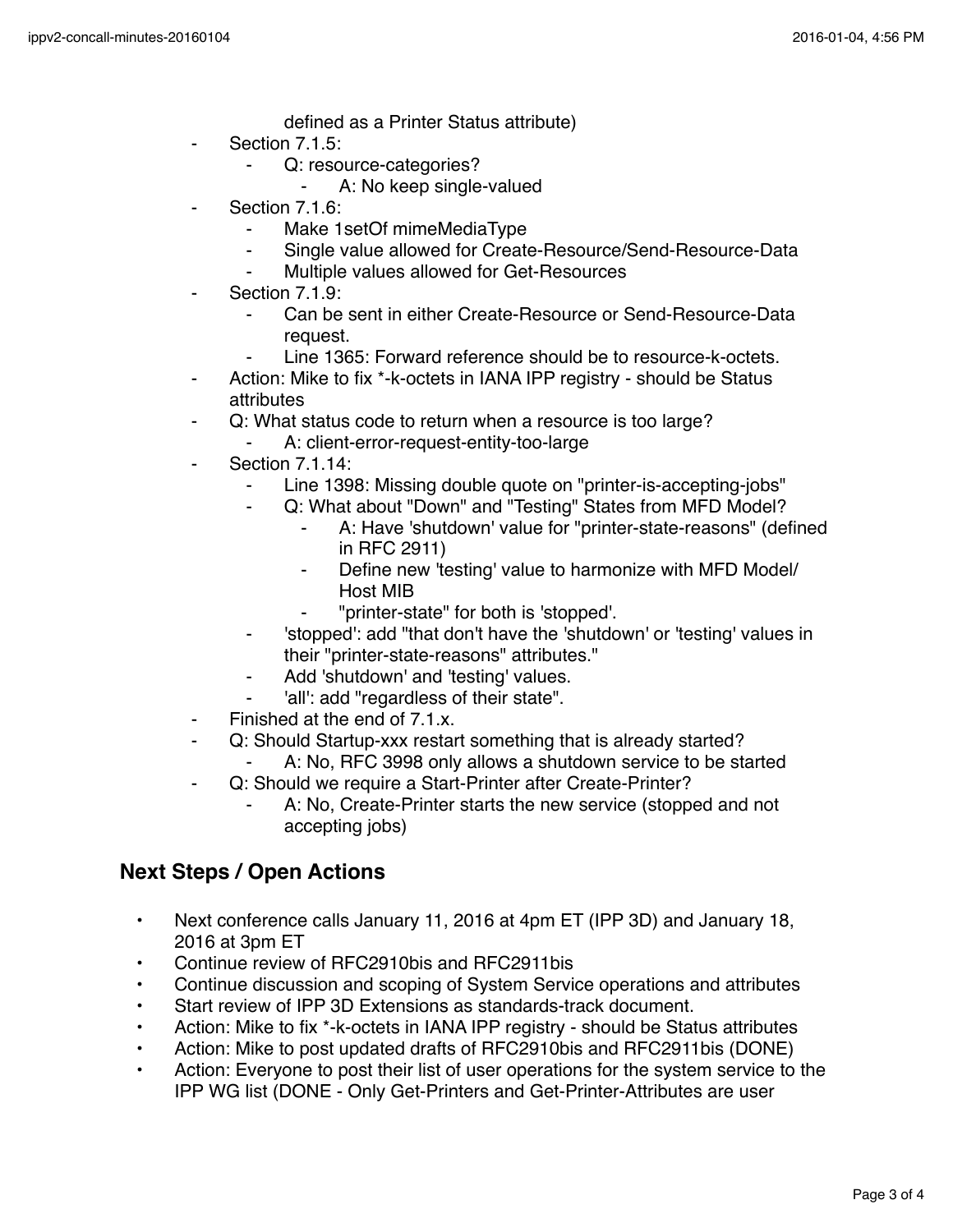defined as a Printer Status attribute)

- Section 7.1.5:
	- Q: resource-categories?
		- A: No keep single-valued
- Section 7.1.6:
	- Make 1setOf mimeMediaType
	- ⁃ Single value allowed for Create-Resource/Send-Resource-Data
	- Multiple values allowed for Get-Resources
- Section 7.1.9:
	- Can be sent in either Create-Resource or Send-Resource-Data request.
	- Line 1365: Forward reference should be to resource-k-octets.
- Action: Mike to fix \*-k-octets in IANA IPP registry should be Status attributes
- ⁃ Q: What status code to return when a resource is too large?
	- A: client-error-request-entity-too-large
- **Section 7.1.14:** 
	- Line 1398: Missing double quote on "printer-is-accepting-jobs"
		- Q: What about "Down" and "Testing" States from MFD Model?
			- A: Have 'shutdown' value for "printer-state-reasons" (defined in RFC 2911)
			- ⁃ Define new 'testing' value to harmonize with MFD Model/ Host MIB
			- ⁃ "printer-state" for both is 'stopped'.
	- ⁃ 'stopped': add "that don't have the 'shutdown' or 'testing' values in their "printer-state-reasons" attributes."
	- Add 'shutdown' and 'testing' values.
	- 'all': add "regardless of their state".
- ⁃ Finished at the end of 7.1.x.
	- Q: Should Startup-xxx restart something that is already started?
	- A: No, RFC 3998 only allows a shutdown service to be started
- ⁃ Q: Should we require a Start-Printer after Create-Printer?
	- A: No, Create-Printer starts the new service (stopped and not accepting jobs)

## **Next Steps / Open Actions**

- Next conference calls January 11, 2016 at 4pm ET (IPP 3D) and January 18, 2016 at 3pm ET
- Continue review of RFC2910bis and RFC2911bis
- Continue discussion and scoping of System Service operations and attributes
- Start review of IPP 3D Extensions as standards-track document.
- Action: Mike to fix \*-k-octets in IANA IPP registry should be Status attributes
- Action: Mike to post updated drafts of RFC2910bis and RFC2911bis (DONE)
- Action: Everyone to post their list of user operations for the system service to the IPP WG list (DONE - Only Get-Printers and Get-Printer-Attributes are user